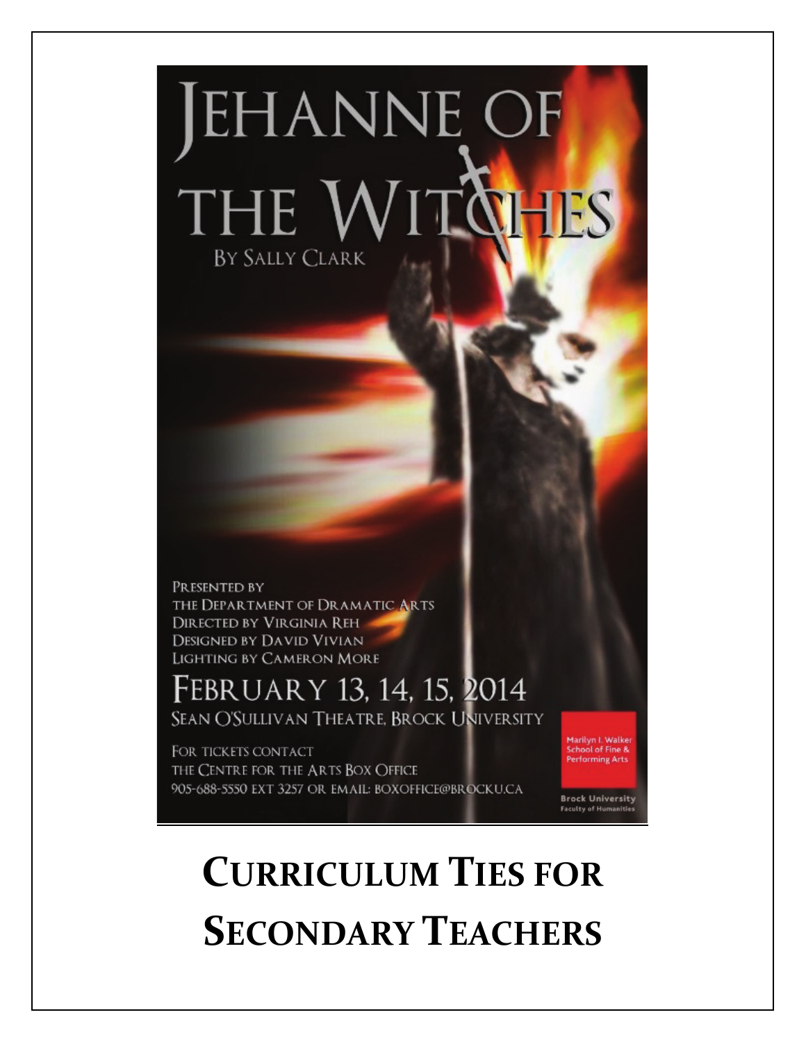# **JEHANNE OF** THE WITQHES BY SALLY CLARK

PRESENTED BY THE DEPARTMENT OF DRAMATIC ARTS **DIRECTED BY VIRGINIA REH DESIGNED BY DAVID VIVIAN** LIGHTING BY CAMERON MORE

February 13, 14, 15, 2014 SEAN O'SULLIVAN THEATRE, BROCK UNIVERSITY

FOR TICKETS CONTACT THE CENTRE FOR THE ARTS BOX OFFICE 905-688-5550 EXT 3257 OR EMAIL: BOXOFFICE@BROCKU.CA Marilyn I. Walker<br>School of Fine & **Performing Arts** 

**Brock University Faculty of Humaniti** 

## **CURRICULUM TIES FOR SECONDARY TEACHERS**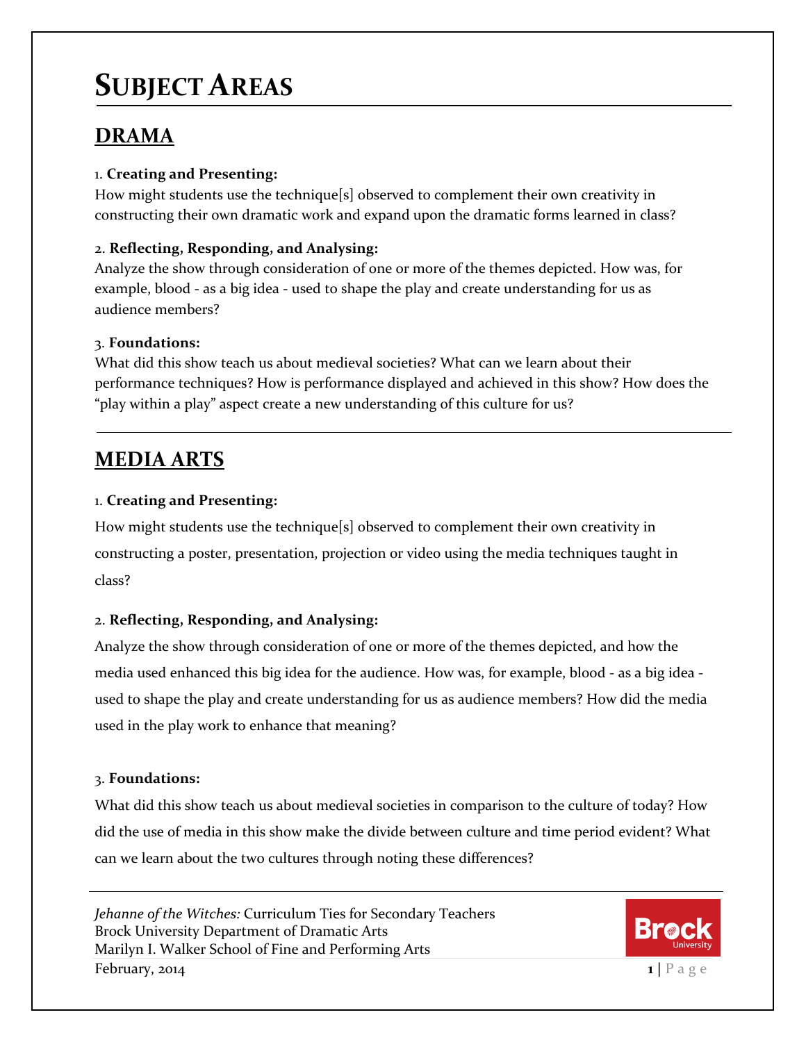## **SUBJECT AREAS**

#### **DRAMA**

#### 1. **Creating and Presenting:**

How might students use the technique[s] observed to complement their own creativity in constructing their own dramatic work and expand upon the dramatic forms learned in class?

#### 2. **Reflecting, Responding, and Analysing:**

Analyze the show through consideration of one or more of the themes depicted. How was, for example, blood - as a big idea - used to shape the play and create understanding for us as audience members?

#### 3. **Foundations:**

What did this show teach us about medieval societies? What can we learn about their performance techniques? How is performance displayed and achieved in this show? How does the "play within a play" aspect create a new understanding of this culture for us?

#### **MEDIA ARTS**

#### 1. **Creating and Presenting:**

How might students use the technique[s] observed to complement their own creativity in constructing a poster, presentation, projection or video using the media techniques taught in class?

#### 2. **Reflecting, Responding, and Analysing:**

Analyze the show through consideration of one or more of the themes depicted, and how the media used enhanced this big idea for the audience. How was, for example, blood - as a big idea used to shape the play and create understanding for us as audience members? How did the media used in the play work to enhance that meaning?

#### 3. **Foundations:**

What did this show teach us about medieval societies in comparison to the culture of today? How did the use of media in this show make the divide between culture and time period evident? What can we learn about the two cultures through noting these differences?

*Jehanne of the Witches:* Curriculum Ties for Secondary Teachers Brock University Department of Dramatic Arts Marilyn I. Walker School of Fine and Performing Arts  $February$ , 2014

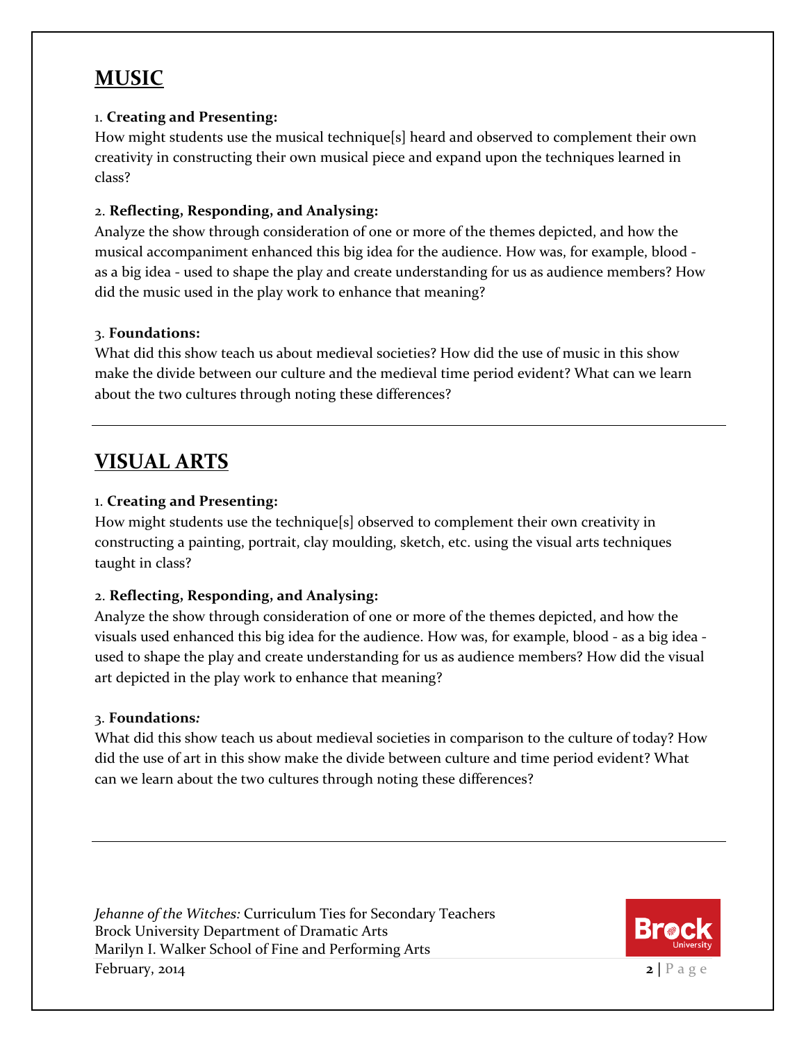#### **MUSIC**

#### 1. **Creating and Presenting:**

How might students use the musical technique[s] heard and observed to complement their own creativity in constructing their own musical piece and expand upon the techniques learned in class?

#### 2. **Reflecting, Responding, and Analysing:**

Analyze the show through consideration of one or more of the themes depicted, and how the musical accompaniment enhanced this big idea for the audience. How was, for example, blood as a big idea - used to shape the play and create understanding for us as audience members? How did the music used in the play work to enhance that meaning?

#### 3. **Foundations:**

What did this show teach us about medieval societies? How did the use of music in this show make the divide between our culture and the medieval time period evident? What can we learn about the two cultures through noting these differences?

#### **VISUAL ARTS**

#### 1. **Creating and Presenting:**

How might students use the technique[s] observed to complement their own creativity in constructing a painting, portrait, clay moulding, sketch, etc. using the visual arts techniques taught in class?

#### 2. **Reflecting, Responding, and Analysing:**

Analyze the show through consideration of one or more of the themes depicted, and how the visuals used enhanced this big idea for the audience. How was, for example, blood - as a big idea used to shape the play and create understanding for us as audience members? How did the visual art depicted in the play work to enhance that meaning?

#### 3. **Foundations***:*

What did this show teach us about medieval societies in comparison to the culture of today? How did the use of art in this show make the divide between culture and time period evident? What can we learn about the two cultures through noting these differences?

*Jehanne of the Witches:* Curriculum Ties for Secondary Teachers Brock University Department of Dramatic Arts Marilyn I. Walker School of Fine and Performing Arts **February**, 2014

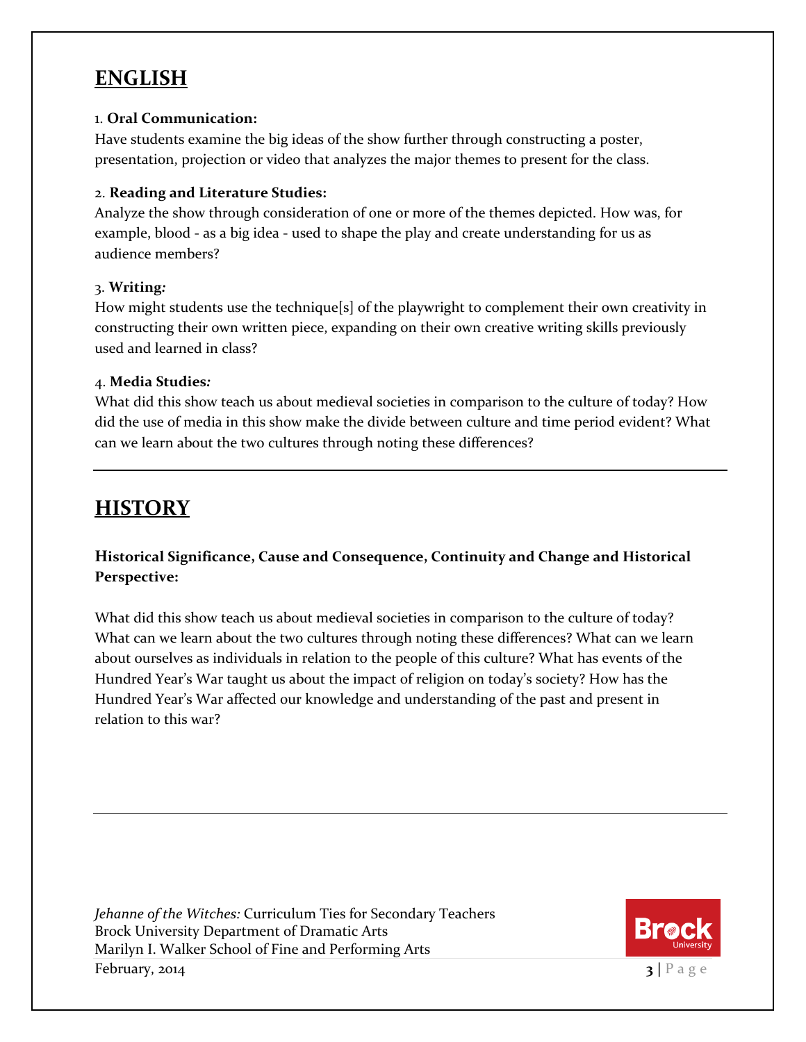#### **ENGLISH**

#### 1. **Oral Communication:**

Have students examine the big ideas of the show further through constructing a poster, presentation, projection or video that analyzes the major themes to present for the class.

#### 2. **Reading and Literature Studies:**

Analyze the show through consideration of one or more of the themes depicted. How was, for example, blood - as a big idea - used to shape the play and create understanding for us as audience members?

#### 3. **Writing***:*

How might students use the technique[s] of the playwright to complement their own creativity in constructing their own written piece, expanding on their own creative writing skills previously used and learned in class?

#### 4. **Media Studies***:*

What did this show teach us about medieval societies in comparison to the culture of today? How did the use of media in this show make the divide between culture and time period evident? What can we learn about the two cultures through noting these differences?

#### **HISTORY**

#### **Historical Significance, Cause and Consequence, Continuity and Change and Historical Perspective:**

What did this show teach us about medieval societies in comparison to the culture of today? What can we learn about the two cultures through noting these differences? What can we learn about ourselves as individuals in relation to the people of this culture? What has events of the Hundred Year's War taught us about the impact of religion on today's society? How has the Hundred Year's War affected our knowledge and understanding of the past and present in relation to this war?

*Jehanne of the Witches:* Curriculum Ties for Secondary Teachers Brock University Department of Dramatic Arts Marilyn I. Walker School of Fine and Performing Arts **February**, 2014

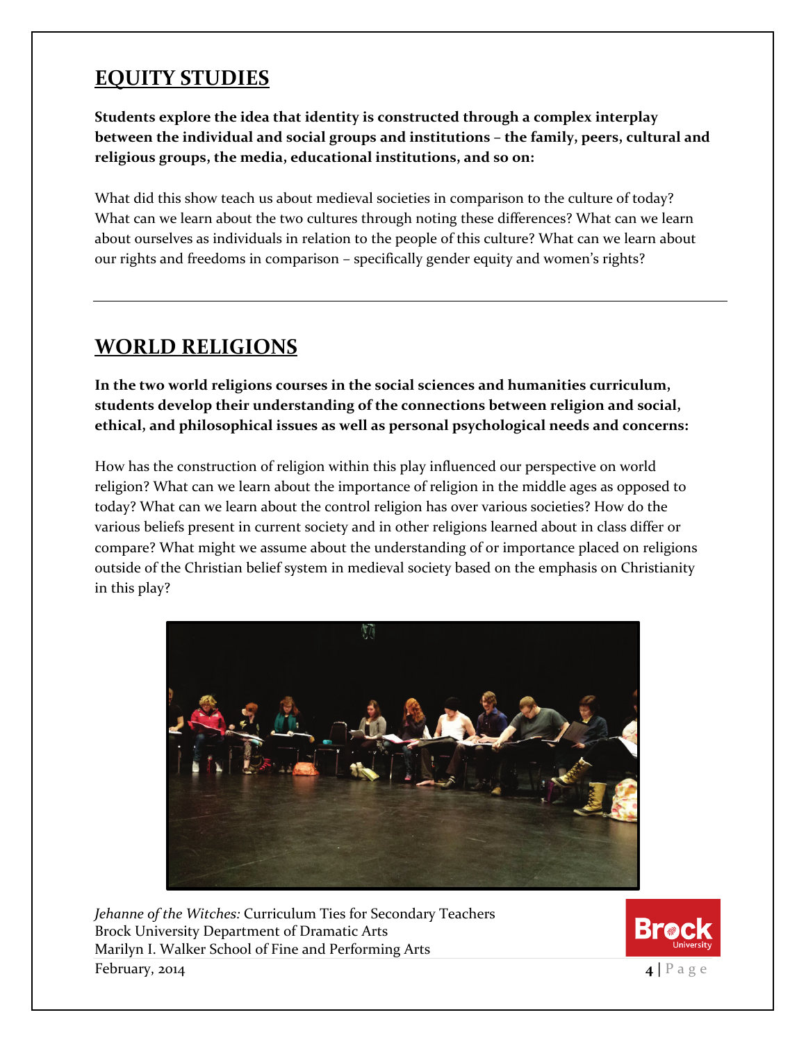#### **EQUITY STUDIES**

**Students explore the idea that identity is constructed through a complex interplay between the individual and social groups and institutions – the family, peers, cultural and religious groups, the media, educational institutions, and so on:**

What did this show teach us about medieval societies in comparison to the culture of today? What can we learn about the two cultures through noting these differences? What can we learn about ourselves as individuals in relation to the people of this culture? What can we learn about our rights and freedoms in comparison – specifically gender equity and women's rights?

#### **WORLD RELIGIONS**

**In the two world religions courses in the social sciences and humanities curriculum, students develop their understanding of the connections between religion and social, ethical, and philosophical issues as well as personal psychological needs and concerns:**

How has the construction of religion within this play influenced our perspective on world religion? What can we learn about the importance of religion in the middle ages as opposed to today? What can we learn about the control religion has over various societies? How do the various beliefs present in current society and in other religions learned about in class differ or compare? What might we assume about the understanding of or importance placed on religions outside of the Christian belief system in medieval society based on the emphasis on Christianity in this play?



*Jehanne of the Witches:* Curriculum Ties for Secondary Teachers Brock University Department of Dramatic Arts Marilyn I. Walker School of Fine and Performing Arts **February, 2014 4**  $\vert$  **P** a g e

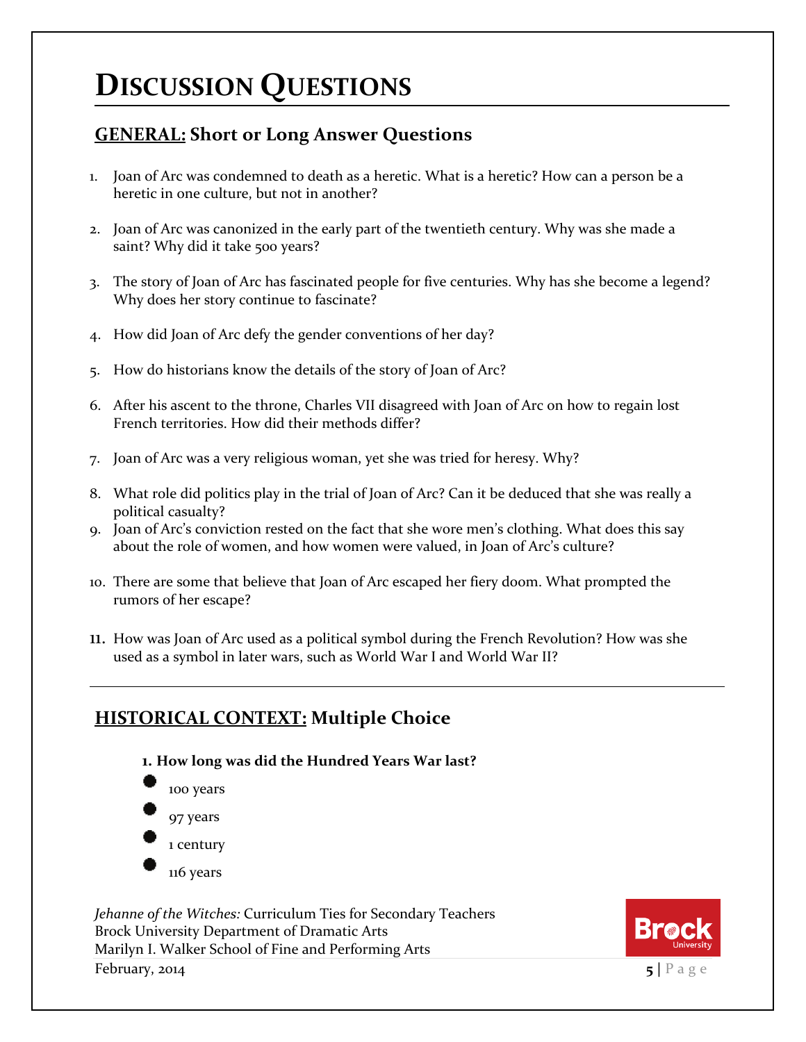### **DISCUSSION QUESTIONS**

#### **GENERAL: Short or Long Answer Questions**

- 1. Joan of Arc was condemned to death as a heretic. What is a heretic? How can a person be a heretic in one culture, but not in another?
- 2. Joan of Arc was canonized in the early part of the twentieth century. Why was she made a saint? Why did it take 500 years?
- 3. The story of Joan of Arc has fascinated people for five centuries. Why has she become a legend? Why does her story continue to fascinate?
- 4. How did Joan of Arc defy the gender conventions of her day?
- 5. How do historians know the details of the story of Joan of Arc?
- 6. After his ascent to the throne, Charles VII disagreed with Joan of Arc on how to regain lost French territories. How did their methods differ?
- 7. Joan of Arc was a very religious woman, yet she was tried for heresy. Why?
- 8. What role did politics play in the trial of Joan of Arc? Can it be deduced that she was really a political casualty?
- 9. Joan of Arc's conviction rested on the fact that she wore men's clothing. What does this say about the role of women, and how women were valued, in Joan of Arc's culture?
- 10. There are some that believe that Joan of Arc escaped her fiery doom. What prompted the rumors of her escape?
- 11. How was Joan of Arc used as a political symbol during the French Revolution? How was she used as a symbol in later wars, such as World War I and World War II?

#### **HISTORICAL CONTEXT: Multiple Choice**



*Jehanne of the Witches:* Curriculum Ties for Secondary Teachers Brock University Department of Dramatic Arts Marilyn I. Walker School of Fine and Performing Arts **February, 2014 5** | **P** a g e